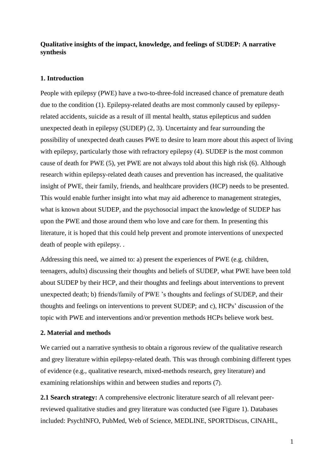## **Qualitative insights of the impact, knowledge, and feelings of SUDEP: A narrative synthesis**

### **1. Introduction**

People with epilepsy (PWE) have a two-to-three-fold increased chance of premature death due to the condition (1). Epilepsy-related deaths are most commonly caused by epilepsyrelated accidents, suicide as a result of ill mental health, status epilepticus and sudden unexpected death in epilepsy (SUDEP) (2, 3). Uncertainty and fear surrounding the possibility of unexpected death causes PWE to desire to learn more about this aspect of living with epilepsy, particularly those with refractory epilepsy (4). SUDEP is the most common cause of death for PWE (5), yet PWE are not always told about this high risk (6). Although research within epilepsy-related death causes and prevention has increased, the qualitative insight of PWE, their family, friends, and healthcare providers (HCP) needs to be presented. This would enable further insight into what may aid adherence to management strategies, what is known about SUDEP, and the psychosocial impact the knowledge of SUDEP has upon the PWE and those around them who love and care for them. In presenting this literature, it is hoped that this could help prevent and promote interventions of unexpected death of people with epilepsy. .

Addressing this need, we aimed to: a) present the experiences of PWE (e.g. children, teenagers, adults) discussing their thoughts and beliefs of SUDEP, what PWE have been told about SUDEP by their HCP, and their thoughts and feelings about interventions to prevent unexpected death; b) friends/family of PWE 's thoughts and feelings of SUDEP, and their thoughts and feelings on interventions to prevent SUDEP; and c), HCPs' discussion of the topic with PWE and interventions and/or prevention methods HCPs believe work best.

### **2. Material and methods**

We carried out a narrative synthesis to obtain a rigorous review of the qualitative research and grey literature within epilepsy-related death. This was through combining different types of evidence (e.g., qualitative research, mixed-methods research, grey literature) and examining relationships within and between studies and reports (7).

**2.1 Search strategy:** A comprehensive electronic literature search of all relevant peerreviewed qualitative studies and grey literature was conducted (see Figure 1). Databases included: PsychINFO, PubMed, Web of Science, MEDLINE, SPORTDiscus, CINAHL,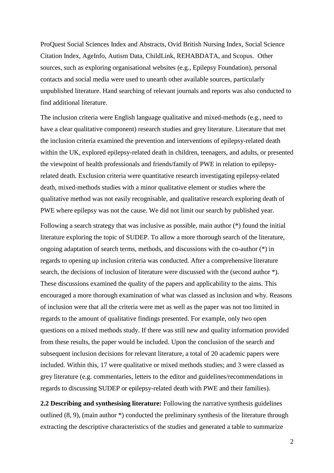ProQuest Social Sciences Index and Abstracts, Ovid British Nursing Index, Social Science Citation Index, AgeInfo, Autism Data, ChildLink, REHABDATA, and Scopus. Other sources, such as exploring organisational websites (e.g., Epilepsy Foundation), personal contacts and social media were used to unearth other available sources, particularly unpublished literature. Hand searching of relevant journals and reports was also conducted to find additional literature.

The inclusion criteria were English language qualitative and mixed-methods (e.g., need to have a clear qualitative component) research studies and grey literature. Literature that met the inclusion criteria examined the prevention and interventions of epilepsy-related death within the UK, explored epilepsy-related death in children, teenagers, and adults, or presented the viewpoint of health professionals and friends/family of PWE in relation to epilepsyrelated death. Exclusion criteria were quantitative research investigating epilepsy-related death, mixed-methods studies with a minor qualitative element or studies where the qualitative method was not easily recognisable, and qualitative research exploring death of PWE where epilepsy was not the cause. We did not limit our search by published year.

Following a search strategy that was inclusive as possible, main author (\*) found the initial literature exploring the topic of SUDEP. To allow a more thorough search of the literature, ongoing adaptation of search terms, methods, and discussions with the co-author (\*) in regards to opening up inclusion criteria was conducted. After a comprehensive literature search, the decisions of inclusion of literature were discussed with the (second author \*). These discussions examined the quality of the papers and applicability to the aims. This encouraged a more thorough examination of what was classed as inclusion and why. Reasons of inclusion were that all the criteria were met as well as the paper was not too limited in regards to the amount of qualitative findings presented. For example, only two open questions on a mixed methods study. If there was still new and quality information provided from these results, the paper would be included. Upon the conclusion of the search and subsequent inclusion decisions for relevant literature, a total of 20 academic papers were included. Within this, 17 were qualitative or mixed methods studies; and 3 were classed as grey literature (e.g. commentaries, letters to the editor and guidelines/recommendations in regards to discussing SUDEP or epilepsy-related death with PWE and their families).

**2.2 Describing and synthesising literature:** Following the narrative synthesis guidelines outlined (8, 9), (main author \*) conducted the preliminary synthesis of the literature through extracting the descriptive characteristics of the studies and generated a table to summarize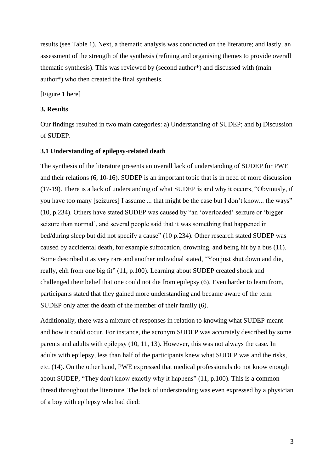results (see Table 1). Next, a thematic analysis was conducted on the literature; and lastly, an assessment of the strength of the synthesis (refining and organising themes to provide overall thematic synthesis). This was reviewed by (second author\*) and discussed with (main author\*) who then created the final synthesis.

[Figure 1 here]

### **3. Results**

Our findings resulted in two main categories: a) Understanding of SUDEP; and b) Discussion of SUDEP.

### **3.1 Understanding of epilepsy-related death**

The synthesis of the literature presents an overall lack of understanding of SUDEP for PWE and their relations (6, 10-16). SUDEP is an important topic that is in need of more discussion (17-19). There is a lack of understanding of what SUDEP is and why it occurs, "Obviously, if you have too many [seizures] I assume ... that might be the case but I don't know... the ways" (10, p.234). Others have stated SUDEP was caused by "an 'overloaded' seizure or 'bigger seizure than normal', and several people said that it was something that happened in bed/during sleep but did not specify a cause" (10 p.234). Other research stated SUDEP was caused by accidental death, for example suffocation, drowning, and being hit by a bus (11). Some described it as very rare and another individual stated, "You just shut down and die, really, ehh from one big fit" (11, p.100). Learning about SUDEP created shock and challenged their belief that one could not die from epilepsy (6). Even harder to learn from, participants stated that they gained more understanding and became aware of the term SUDEP only after the death of the member of their family (6).

Additionally, there was a mixture of responses in relation to knowing what SUDEP meant and how it could occur. For instance, the acronym SUDEP was accurately described by some parents and adults with epilepsy (10, 11, 13). However, this was not always the case. In adults with epilepsy, less than half of the participants knew what SUDEP was and the risks, etc. (14). On the other hand, PWE expressed that medical professionals do not know enough about SUDEP, "They don't know exactly why it happens" (11, p.100). This is a common thread throughout the literature. The lack of understanding was even expressed by a physician of a boy with epilepsy who had died: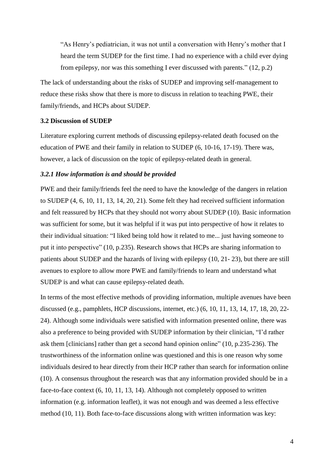"As Henry's pediatrician, it was not until a conversation with Henry's mother that I heard the term SUDEP for the first time. I had no experience with a child ever dying from epilepsy, nor was this something I ever discussed with parents." (12, p.2)

The lack of understanding about the risks of SUDEP and improving self-management to reduce these risks show that there is more to discuss in relation to teaching PWE, their family/friends, and HCPs about SUDEP.

### **3.2 Discussion of SUDEP**

Literature exploring current methods of discussing epilepsy-related death focused on the education of PWE and their family in relation to SUDEP (6, 10-16, 17-19). There was, however, a lack of discussion on the topic of epilepsy-related death in general.

### *3.2.1 How information is and should be provided*

PWE and their family/friends feel the need to have the knowledge of the dangers in relation to SUDEP (4, 6, 10, 11, 13, 14, 20, 21). Some felt they had received sufficient information and felt reassured by HCPs that they should not worry about SUDEP (10). Basic information was sufficient for some, but it was helpful if it was put into perspective of how it relates to their individual situation: "I liked being told how it related to me... just having someone to put it into perspective" (10, p.235). Research shows that HCPs are sharing information to patients about SUDEP and the hazards of living with epilepsy (10, 21- 23), but there are still avenues to explore to allow more PWE and family/friends to learn and understand what SUDEP is and what can cause epilepsy-related death.

In terms of the most effective methods of providing information, multiple avenues have been discussed (e.g., pamphlets, HCP discussions, internet, etc.) (6, 10, 11, 13, 14, 17, 18, 20, 22- 24). Although some individuals were satisfied with information presented online, there was also a preference to being provided with SUDEP information by their clinician, "I'd rather ask them [clinicians] rather than get a second hand opinion online" (10, p.235-236). The trustworthiness of the information online was questioned and this is one reason why some individuals desired to hear directly from their HCP rather than search for information online (10). A consensus throughout the research was that any information provided should be in a face-to-face context (6, 10, 11, 13, 14). Although not completely opposed to written information (e.g. information leaflet), it was not enough and was deemed a less effective method (10, 11). Both face-to-face discussions along with written information was key: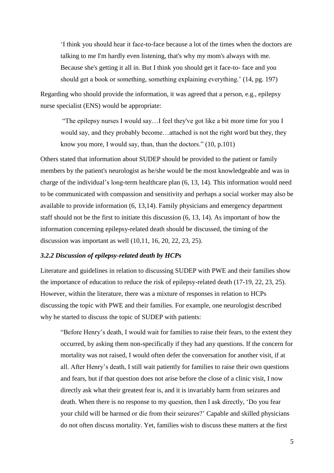'I think you should hear it face-to-face because a lot of the times when the doctors are talking to me I'm hardly even listening, that's why my mom's always with me. Because she's getting it all in. But I think you should get it face-to- face and you should get a book or something, something explaining everything.' (14, pg. 197)

Regarding who should provide the information, it was agreed that a person, e.g., epilepsy nurse specialist (ENS) would be appropriate:

"The epilepsy nurses I would say…I feel they've got like a bit more time for you I would say, and they probably become…attached is not the right word but they, they know you more, I would say, than, than the doctors." (10, p.101)

Others stated that information about SUDEP should be provided to the patient or family members by the patient's neurologist as he/she would be the most knowledgeable and was in charge of the individual's long-term healthcare plan (6, 13, 14). This information would need to be communicated with compassion and sensitivity and perhaps a social worker may also be available to provide information (6, 13,14). Family physicians and emergency department staff should not be the first to initiate this discussion (6, 13, 14). As important of how the information concerning epilepsy-related death should be discussed, the timing of the discussion was important as well (10,11, 16, 20, 22, 23, 25).

#### *3.2.2 Discussion of epilepsy-related death by HCPs*

Literature and guidelines in relation to discussing SUDEP with PWE and their families show the importance of education to reduce the risk of epilepsy-related death (17-19, 22, 23, 25). However, within the literature, there was a mixture of responses in relation to HCPs discussing the topic with PWE and their families. For example, one neurologist described why he started to discuss the topic of SUDEP with patients:

"Before Henry's death, I would wait for families to raise their fears, to the extent they occurred, by asking them non-specifically if they had any questions. If the concern for mortality was not raised, I would often defer the conversation for another visit, if at all. After Henry's death, I still wait patiently for families to raise their own questions and fears, but if that question does not arise before the close of a clinic visit, I now directly ask what their greatest fear is, and it is invariably harm from seizures and death. When there is no response to my question, then I ask directly, 'Do you fear your child will be harmed or die from their seizures?' Capable and skilled physicians do not often discuss mortality. Yet, families wish to discuss these matters at the first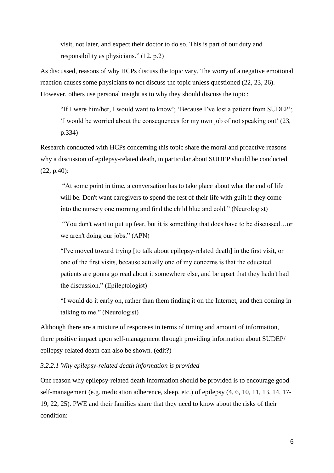visit, not later, and expect their doctor to do so. This is part of our duty and responsibility as physicians." (12, p.2)

As discussed, reasons of why HCPs discuss the topic vary. The worry of a negative emotional reaction causes some physicians to not discuss the topic unless questioned (22, 23, 26). However, others use personal insight as to why they should discuss the topic:

"If I were him/her, I would want to know'; 'Because I've lost a patient from SUDEP'; 'I would be worried about the consequences for my own job of not speaking out' (23, p.334)

Research conducted with HCPs concerning this topic share the moral and proactive reasons why a discussion of epilepsy-related death, in particular about SUDEP should be conducted (22, p.40):

"At some point in time, a conversation has to take place about what the end of life will be. Don't want caregivers to spend the rest of their life with guilt if they come into the nursery one morning and find the child blue and cold." (Neurologist)

"You don't want to put up fear, but it is something that does have to be discussed…or we aren't doing our jobs." (APN)

"I've moved toward trying [to talk about epilepsy-related death] in the first visit, or one of the first visits, because actually one of my concerns is that the educated patients are gonna go read about it somewhere else, and be upset that they hadn't had the discussion." (Epileptologist)

"I would do it early on, rather than them finding it on the Internet, and then coming in talking to me." (Neurologist)

Although there are a mixture of responses in terms of timing and amount of information, there positive impact upon self-management through providing information about SUDEP/ epilepsy-related death can also be shown. (edit?)

### *3.2.2.1 Why epilepsy-related death information is provided*

One reason why epilepsy-related death information should be provided is to encourage good self-management (e.g. medication adherence, sleep, etc.) of epilepsy (4, 6, 10, 11, 13, 14, 17- 19, 22, 25). PWE and their families share that they need to know about the risks of their condition: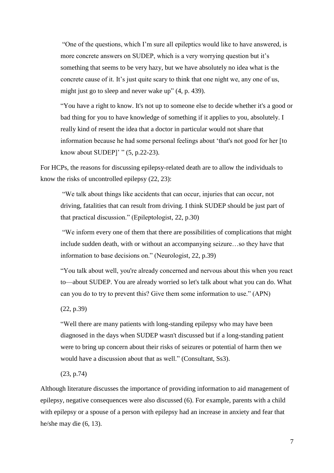"One of the questions, which I'm sure all epileptics would like to have answered, is more concrete answers on SUDEP, which is a very worrying question but it's something that seems to be very hazy, but we have absolutely no idea what is the concrete cause of it. It's just quite scary to think that one night we, any one of us, might just go to sleep and never wake up" (4, p. 439).

"You have a right to know. It's not up to someone else to decide whether it's a good or bad thing for you to have knowledge of something if it applies to you, absolutely. I really kind of resent the idea that a doctor in particular would not share that information because he had some personal feelings about 'that's not good for her [to know about SUDEP]' " (5, p.22-23).

For HCPs, the reasons for discussing epilepsy-related death are to allow the individuals to know the risks of uncontrolled epilepsy (22, 23):

"We talk about things like accidents that can occur, injuries that can occur, not driving, fatalities that can result from driving. I think SUDEP should be just part of that practical discussion." (Epileptologist, 22, p.30)

"We inform every one of them that there are possibilities of complications that might include sudden death, with or without an accompanying seizure…so they have that information to base decisions on." (Neurologist, 22, p.39)

"You talk about well, you're already concerned and nervous about this when you react to—about SUDEP. You are already worried so let's talk about what you can do. What can you do to try to prevent this? Give them some information to use." (APN)

(22, p.39)

"Well there are many patients with long-standing epilepsy who may have been diagnosed in the days when SUDEP wasn't discussed but if a long-standing patient were to bring up concern about their risks of seizures or potential of harm then we would have a discussion about that as well." (Consultant, Ss3).

(23, p.74)

Although literature discusses the importance of providing information to aid management of epilepsy, negative consequences were also discussed (6). For example, parents with a child with epilepsy or a spouse of a person with epilepsy had an increase in anxiety and fear that he/she may die (6, 13).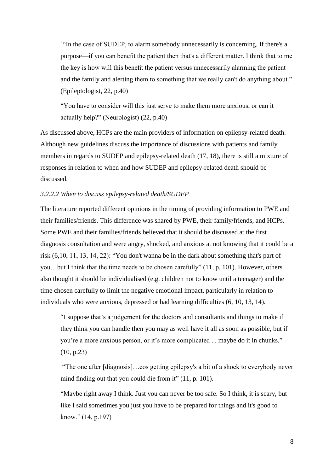`"In the case of SUDEP, to alarm somebody unnecessarily is concerning. If there's a purpose—if you can benefit the patient then that's a different matter. I think that to me the key is how will this benefit the patient versus unnecessarily alarming the patient and the family and alerting them to something that we really can't do anything about." (Epileptologist, 22, p.40)

"You have to consider will this just serve to make them more anxious, or can it actually help?" (Neurologist) (22, p.40)

As discussed above, HCPs are the main providers of information on epilepsy-related death. Although new guidelines discuss the importance of discussions with patients and family members in regards to SUDEP and epilepsy-related death (17, 18), there is still a mixture of responses in relation to when and how SUDEP and epilepsy-related death should be discussed.

### *3.2.2.2 When to discuss epilepsy-related death/SUDEP*

The literature reported different opinions in the timing of providing information to PWE and their families/friends. This difference was shared by PWE, their family/friends, and HCPs. Some PWE and their families/friends believed that it should be discussed at the first diagnosis consultation and were angry, shocked, and anxious at not knowing that it could be a risk (6,10, 11, 13, 14, 22): "You don't wanna be in the dark about something that's part of you…but I think that the time needs to be chosen carefully" (11, p. 101). However, others also thought it should be individualised (e.g. children not to know until a teenager) and the time chosen carefully to limit the negative emotional impact, particularly in relation to individuals who were anxious, depressed or had learning difficulties (6, 10, 13, 14).

"I suppose that's a judgement for the doctors and consultants and things to make if they think you can handle then you may as well have it all as soon as possible, but if you're a more anxious person, or it's more complicated ... maybe do it in chunks." (10, p.23)

"The one after [diagnosis]…cos getting epilepsy's a bit of a shock to everybody never mind finding out that you could die from it" (11, p. 101).

"Maybe right away I think. Just you can never be too safe. So I think, it is scary, but like I said sometimes you just you have to be prepared for things and it's good to know." (14, p.197)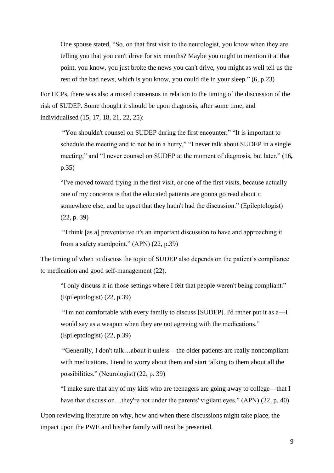One spouse stated, "So, on that first visit to the neurologist, you know when they are telling you that you can't drive for six months? Maybe you ought to mention it at that point, you know, you just broke the news you can't drive, you might as well tell us the rest of the bad news, which is you know, you could die in your sleep." (6, p.23)

For HCPs, there was also a mixed consensus in relation to the timing of the discussion of the risk of SUDEP. Some thought it should be upon diagnosis, after some time, and individualised (15, 17, 18, 21, 22, 25):

"You shouldn't counsel on SUDEP during the first encounter," "It is important to schedule the meeting and to not be in a hurry," "I never talk about SUDEP in a single meeting," and "I never counsel on SUDEP at the moment of diagnosis, but later." (16**,**  p.35)

"I've moved toward trying in the first visit, or one of the first visits, because actually one of my concerns is that the educated patients are gonna go read about it somewhere else, and be upset that they hadn't had the discussion." (Epileptologist) (22, p. 39)

"I think [as a] preventative it's an important discussion to have and approaching it from a safety standpoint." (APN) (22, p.39)

The timing of when to discuss the topic of SUDEP also depends on the patient's compliance to medication and good self-management (22).

"I only discuss it in those settings where I felt that people weren't being compliant." (Epileptologist) (22, p.39)

"I'm not comfortable with every family to discuss [SUDEP]. I'd rather put it as a—I would say as a weapon when they are not agreeing with the medications." (Epileptologist) (22, p.39)

"Generally, I don't talk…about it unless—the older patients are really noncompliant with medications. I tend to worry about them and start talking to them about all the possibilities." (Neurologist) (22, p. 39)

"I make sure that any of my kids who are teenagers are going away to college—that I have that discussion…they're not under the parents' vigilant eyes." (APN) (22, p. 40)

Upon reviewing literature on why, how and when these discussions might take place, the impact upon the PWE and his/her family will next be presented.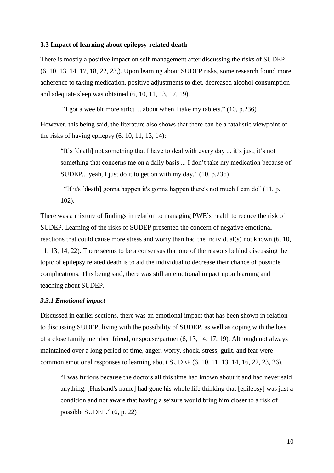#### **3.3 Impact of learning about epilepsy-related death**

There is mostly a positive impact on self-management after discussing the risks of SUDEP (6, 10, 13, 14, 17, 18, 22, 23,). Upon learning about SUDEP risks, some research found more adherence to taking medication, positive adjustments to diet, decreased alcohol consumption and adequate sleep was obtained (6, 10, 11, 13, 17, 19).

"I got a wee bit more strict ... about when I take my tablets." (10, p.236)

However, this being said, the literature also shows that there can be a fatalistic viewpoint of the risks of having epilepsy (6, 10, 11, 13, 14):

"It's [death] not something that I have to deal with every day ... it's just, it's not something that concerns me on a daily basis ... I don't take my medication because of SUDEP... yeah, I just do it to get on with my day." (10, p.236)

"If it's [death] gonna happen it's gonna happen there's not much I can do" (11, p. 102).

There was a mixture of findings in relation to managing PWE's health to reduce the risk of SUDEP. Learning of the risks of SUDEP presented the concern of negative emotional reactions that could cause more stress and worry than had the individual(s) not known (6, 10, 11, 13, 14, 22). There seems to be a consensus that one of the reasons behind discussing the topic of epilepsy related death is to aid the individual to decrease their chance of possible complications. This being said, there was still an emotional impact upon learning and teaching about SUDEP.

#### *3.3.1 Emotional impact*

Discussed in earlier sections, there was an emotional impact that has been shown in relation to discussing SUDEP, living with the possibility of SUDEP, as well as coping with the loss of a close family member, friend, or spouse/partner (6, 13, 14, 17, 19). Although not always maintained over a long period of time, anger, worry, shock, stress, guilt, and fear were common emotional responses to learning about SUDEP (6, 10, 11, 13, 14, 16, 22, 23, 26).

"I was furious because the doctors all this time had known about it and had never said anything. [Husband's name] had gone his whole life thinking that [epilepsy] was just a condition and not aware that having a seizure would bring him closer to a risk of possible SUDEP." (6, p. 22)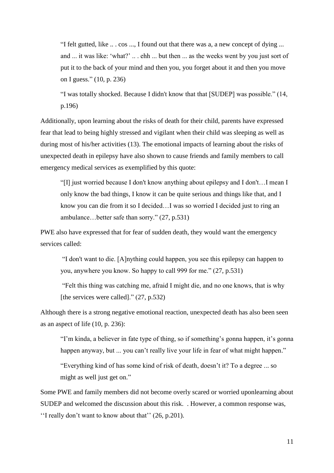"I felt gutted, like .. . cos ..., I found out that there was a, a new concept of dying ... and ... it was like: 'what?' .. . ehh ... but then ... as the weeks went by you just sort of put it to the back of your mind and then you, you forget about it and then you move on I guess." (10, p. 236)

"I was totally shocked. Because I didn't know that that [SUDEP] was possible." (14, p.196)

Additionally, upon learning about the risks of death for their child, parents have expressed fear that lead to being highly stressed and vigilant when their child was sleeping as well as during most of his/her activities (13). The emotional impacts of learning about the risks of unexpected death in epilepsy have also shown to cause friends and family members to call emergency medical services as exemplified by this quote:

"[I] just worried because I don't know anything about epilepsy and I don't…I mean I only know the bad things, I know it can be quite serious and things like that, and I know you can die from it so I decided…I was so worried I decided just to ring an ambulance…better safe than sorry." (27, p.531)

PWE also have expressed that for fear of sudden death, they would want the emergency services called:

"I don't want to die. [A]nything could happen, you see this epilepsy can happen to you, anywhere you know. So happy to call 999 for me." (27, p.531)

"Felt this thing was catching me, afraid I might die, and no one knows, that is why [the services were called]." (27, p.532)

Although there is a strong negative emotional reaction, unexpected death has also been seen as an aspect of life (10, p. 236):

"I'm kinda, a believer in fate type of thing, so if something's gonna happen, it's gonna happen anyway, but ... you can't really live your life in fear of what might happen."

"Everything kind of has some kind of risk of death, doesn't it? To a degree ... so might as well just get on."

Some PWE and family members did not become overly scared or worried uponlearning about SUDEP and welcomed the discussion about this risk. . However, a common response was, ''I really don't want to know about that'' (26, p.201).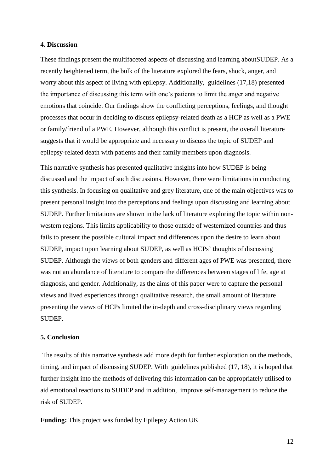#### **4. Discussion**

These findings present the multifaceted aspects of discussing and learning aboutSUDEP. As a recently heightened term, the bulk of the literature explored the fears, shock, anger, and worry about this aspect of living with epilepsy. Additionally, guidelines (17,18) presented the importance of discussing this term with one's patients to limit the anger and negative emotions that coincide. Our findings show the conflicting perceptions, feelings, and thought processes that occur in deciding to discuss epilepsy-related death as a HCP as well as a PWE or family/friend of a PWE. However, although this conflict is present, the overall literature suggests that it would be appropriate and necessary to discuss the topic of SUDEP and epilepsy-related death with patients and their family members upon diagnosis.

This narrative synthesis has presented qualitative insights into how SUDEP is being discussed and the impact of such discussions. However, there were limitations in conducting this synthesis. In focusing on qualitative and grey literature, one of the main objectives was to present personal insight into the perceptions and feelings upon discussing and learning about SUDEP. Further limitations are shown in the lack of literature exploring the topic within nonwestern regions. This limits applicability to those outside of westernized countries and thus fails to present the possible cultural impact and differences upon the desire to learn about SUDEP, impact upon learning about SUDEP, as well as HCPs' thoughts of discussing SUDEP. Although the views of both genders and different ages of PWE was presented, there was not an abundance of literature to compare the differences between stages of life, age at diagnosis, and gender. Additionally, as the aims of this paper were to capture the personal views and lived experiences through qualitative research, the small amount of literature presenting the views of HCPs limited the in-depth and cross-disciplinary views regarding SUDEP.

#### **5. Conclusion**

The results of this narrative synthesis add more depth for further exploration on the methods, timing, and impact of discussing SUDEP. With guidelines published (17, 18), it is hoped that further insight into the methods of delivering this information can be appropriately utilised to aid emotional reactions to SUDEP and in addition, improve self-management to reduce the risk of SUDEP.

**Funding:** This project was funded by Epilepsy Action UK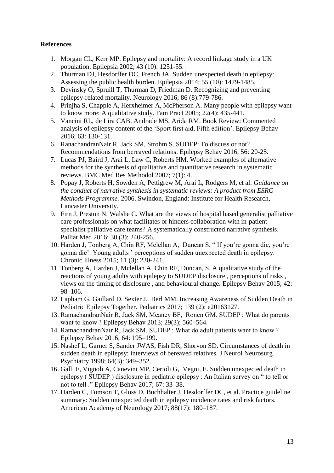# **References**

- 1. Morgan CL, Kerr MP. Epilepsy and mortality: A record linkage study in a UK population. Epilepsia 2002; 43 (10): 1251-55.
- 2. Thurman DJ, Hesdorffer DC, French JA. Sudden unexpected death in epilepsy: Assessing the public health burden. Epilepsia 2014; 55 (10): 1479-1485.
- 3. Devinsky O, Spruill T, Thurman D, Friedman D. Recognizing and preventing epilepsy-related mortality. Neurology 2016; 86 (8):779-786.
- 4. Prinjha S, Chapple A, Herxheimer A, McPherson A. Many people with epilepsy want to know more: A qualitative study. Fam Pract 2005; 22(4): 435-441.
- 5. Vancini RL, de Lira CAB, Andrade MS, Arida RM. Book Review: Commented analysis of epilepsy content of the 'Sport first aid, Fifth edition'. Epilepsy Behav 2016; 63: 130-131.
- 6. RanachandranNair R, Jack SM, Strohm S. SUDEP: To discuss or not? Recommendations from bereaved relations. Epilepsy Behav 2016; 56: 20-25.
- 7. Lucas PJ, Baird J, Arai L, Law C, Roberts HM. Worked examples of alternative methods for the synthesis of qualitative and quantitative research in systematic reviews. BMC Med Res Methodol 2007; 7(1): 4.
- 8. Popay J, Roberts H, Sowden A, Pettigrew M, Arai L, Rodgers M, et al. *Guidance on the conduct of narrative synthesis in systematic reviews: A product from ESRC Methods Programme.* 2006. Swindon, England: Institute for Health Research, Lancaster University.
- 9. Firn J, Preston N, Walshe C. What are the views of hospital based generalist palliative care professionals on what facilitates or hinders collaboration with in-patient specialist palliative care teams? A systematically constructed narrative synthesis. Palliat Med 2016; 30 (3): 240-256.
- 10. Harden J, Tonberg A, Chin RF, Mclellan A, Duncan S. " If you're gonna die, you're gonna die': Young adults ' perceptions of sudden unexpected death in epilepsy. Chronic Illness 2015; 11 (3): 230-241.
- 11. Tonberg A, Harden J, Mclellan A, Chin RF, Duncan, S. A qualitative study of the reactions of young adults with epilepsy to SUDEP disclosure , perceptions of risks , views on the timing of disclosure , and behavioural change. Epilepsy Behav 2015; 42: 98–106.
- 12. Lapham G, Gaillard D, Sexter J, Berl MM. Increasing Awareness of Sudden Death in Pediatric Epilepsy Together. Pediatrics 2017; 139 (2): e20163127.
- 13. RamachandranNair R, Jack SM, Meaney BF, Ronen GM. SUDEP : What do parents want to know ? Epilepsy Behav 2013; 29(3); 560–564.
- 14. RamachandranNair R, Jack SM. SUDEP : What do adult patients want to know ? Epilepsy Behav 2016; 64: 195–199.
- 15. Nashef L, Garner S, Sander JWAS, Fish DR, Shorvon SD. Circumstances of death in sudden death in epilepsy: interviews of bereaved relatives. J Neurol Neurosurg Psychiatry 1998; 64(3): 349–352.
- 16. Galli F, Vignoli A, Canevini MP, Cerioli G, Vegni, E. Sudden unexpected death in epilepsy ( SUDEP ) disclosure in pediatric epilepsy : An Italian survey on " to tell or not to tell ." Epilepsy Behav 2017; 67: 33–38.
- 17. Harden C, Tomson T, Gloss D, Buchhalter J, Hesdorffer DC, et al. Practice guideline summary: Sudden unexpected death in epilepsy incidence rates and risk factors. American Academy of Neurology 2017; 88(17): 180–187.